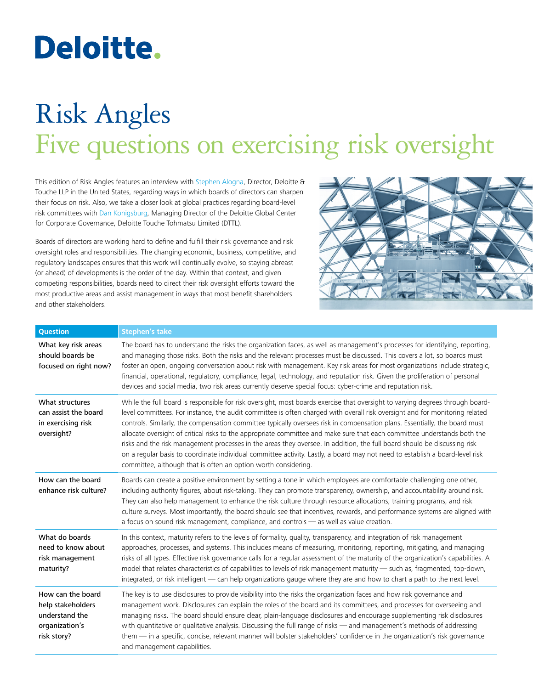# Deloitte.

# Risk Angles Five questions on exercising risk oversight

This edition of Risk Angles features an interview with [Stephen Alogna,](http://www.linkedin.com/pub/stephen-alogna/7/28/493) Director, Deloitte & Touche LLP in the United States, regarding ways in which boards of directors can sharpen their focus on risk. Also, we take a closer look at global practices regarding board-level risk committees with [Dan Konigsburg](http://www.linkedin.com/pub/dan-konigsburg/0/923/bb5), Managing Director of the Deloitte Global Center for Corporate Governance, Deloitte Touche Tohmatsu Limited (DTTL).

Boards of directors are working hard to define and fulfill their risk governance and risk oversight roles and responsibilities. The changing economic, business, competitive, and regulatory landscapes ensures that this work will continually evolve, so staying abreast (or ahead) of developments is the order of the day. Within that context, and given competing responsibilities, boards need to direct their risk oversight efforts toward the most productive areas and assist management in ways that most benefit shareholders and other stakeholders.



| <b>Question</b>                                                                           | <b>Stephen's take</b>                                                                                                                                                                                                                                                                                                                                                                                                                                                                                                                                                                                                                                                                                                                                                                                                                                |
|-------------------------------------------------------------------------------------------|------------------------------------------------------------------------------------------------------------------------------------------------------------------------------------------------------------------------------------------------------------------------------------------------------------------------------------------------------------------------------------------------------------------------------------------------------------------------------------------------------------------------------------------------------------------------------------------------------------------------------------------------------------------------------------------------------------------------------------------------------------------------------------------------------------------------------------------------------|
| What key risk areas<br>should boards be<br>focused on right now?                          | The board has to understand the risks the organization faces, as well as management's processes for identifying, reporting,<br>and managing those risks. Both the risks and the relevant processes must be discussed. This covers a lot, so boards must<br>foster an open, ongoing conversation about risk with management. Key risk areas for most organizations include strategic,<br>financial, operational, regulatory, compliance, legal, technology, and reputation risk. Given the proliferation of personal<br>devices and social media, two risk areas currently deserve special focus: cyber-crime and reputation risk.                                                                                                                                                                                                                    |
| What structures<br>can assist the board<br>in exercising risk<br>oversight?               | While the full board is responsible for risk oversight, most boards exercise that oversight to varying degrees through board-<br>level committees. For instance, the audit committee is often charged with overall risk oversight and for monitoring related<br>controls. Similarly, the compensation committee typically oversees risk in compensation plans. Essentially, the board must<br>allocate oversight of critical risks to the appropriate committee and make sure that each committee understands both the<br>risks and the risk management processes in the areas they oversee. In addition, the full board should be discussing risk<br>on a regular basis to coordinate individual committee activity. Lastly, a board may not need to establish a board-level risk<br>committee, although that is often an option worth considering. |
| How can the board<br>enhance risk culture?                                                | Boards can create a positive environment by setting a tone in which employees are comfortable challenging one other,<br>including authority figures, about risk-taking. They can promote transparency, ownership, and accountability around risk.<br>They can also help management to enhance the risk culture through resource allocations, training programs, and risk<br>culture surveys. Most importantly, the board should see that incentives, rewards, and performance systems are aligned with<br>a focus on sound risk management, compliance, and controls - as well as value creation.                                                                                                                                                                                                                                                    |
| What do boards<br>need to know about<br>risk management<br>maturity?                      | In this context, maturity refers to the levels of formality, quality, transparency, and integration of risk management<br>approaches, processes, and systems. This includes means of measuring, monitoring, reporting, mitigating, and managing<br>risks of all types. Effective risk governance calls for a regular assessment of the maturity of the organization's capabilities. A<br>model that relates characteristics of capabilities to levels of risk management maturity - such as, fragmented, top-down,<br>integrated, or risk intelligent — can help organizations gauge where they are and how to chart a path to the next level.                                                                                                                                                                                                       |
| How can the board<br>help stakeholders<br>understand the<br>organization's<br>risk story? | The key is to use disclosures to provide visibility into the risks the organization faces and how risk governance and<br>management work. Disclosures can explain the roles of the board and its committees, and processes for overseeing and<br>managing risks. The board should ensure clear, plain-language disclosures and encourage supplementing risk disclosures<br>with quantitative or qualitative analysis. Discussing the full range of risks - and management's methods of addressing<br>them - in a specific, concise, relevant manner will bolster stakeholders' confidence in the organization's risk governance<br>and management capabilities.                                                                                                                                                                                      |